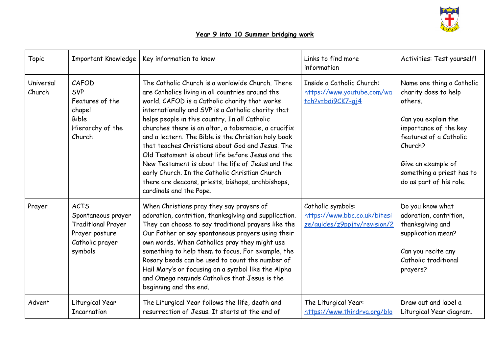

## **Year 9 into 10 Summer bridging work**

| Topic               | <b>Important Knowledge</b>                                                                                     | Key information to know                                                                                                                                                                                                                                                                                                                                                                                                                                                                                                                                                                                                                                                   | Links to find more<br>information                                                  | Activities: Test yourself!                                                                                                                                                                                                      |
|---------------------|----------------------------------------------------------------------------------------------------------------|---------------------------------------------------------------------------------------------------------------------------------------------------------------------------------------------------------------------------------------------------------------------------------------------------------------------------------------------------------------------------------------------------------------------------------------------------------------------------------------------------------------------------------------------------------------------------------------------------------------------------------------------------------------------------|------------------------------------------------------------------------------------|---------------------------------------------------------------------------------------------------------------------------------------------------------------------------------------------------------------------------------|
| Universal<br>Church | CAFOD<br><b>SVP</b><br>Features of the<br>chapel<br><b>Bible</b><br>Hierarchy of the<br>Church                 | The Catholic Church is a worldwide Church. There<br>are Catholics living in all countries around the<br>world. CAFOD is a Catholic charity that works<br>internationally and SVP is a Catholic charity that<br>helps people in this country. In all Catholic<br>churches there is an altar, a tabernacle, a crucifix<br>and a lectern. The Bible is the Christian holy book<br>that teaches Christians about God and Jesus. The<br>Old Testament is about life before Jesus and the<br>New Testament is about the life of Jesus and the<br>early Church. In the Catholic Christian Church<br>there are deacons, priests, bishops, archbishops,<br>cardinals and the Pope. | Inside a Catholic Church:<br>https://www.youtube.com/wa<br>tch?v=bdi9CK7-gj4       | Name one thing a Catholic<br>charity does to help<br>others.<br>Can you explain the<br>importance of the key<br>features of a Catholic<br>Church?<br>Give an example of<br>something a priest has to<br>do as part of his role. |
| Prayer              | <b>ACTS</b><br>Spontaneous prayer<br><b>Traditional Prayer</b><br>Prayer posture<br>Catholic prayer<br>symbols | When Christians pray they say prayers of<br>adoration, contrition, thanksgiving and supplication.<br>They can choose to say traditional prayers like the<br>Our Father or say spontaneous prayers using their<br>own words. When Catholics pray they might use<br>something to help them to focus. For example, the<br>Rosary beads can be used to count the number of<br>Hail Mary's or focusing on a symbol like the Alpha<br>and Omega reminds Catholics that Jesus is the<br>beginning and the end.                                                                                                                                                                   | Catholic symbols:<br>https://www.bbc.co.uk/bitesi<br>ze/guides/z9pp.jty/revision/2 | Do you know what<br>adoration, contrition,<br>thanksgiving and<br>supplication mean?<br>Can you recite any<br>Catholic traditional<br>prayers?                                                                                  |
| Advent              | Liturgical Year<br><b>Incarnation</b>                                                                          | The Liturgical Year follows the life, death and<br>resurrection of Jesus. It starts at the end of                                                                                                                                                                                                                                                                                                                                                                                                                                                                                                                                                                         | The Liturgical Year:<br>https://www.thirdrva.org/blo                               | Draw out and label a<br>Liturgical Year diagram.                                                                                                                                                                                |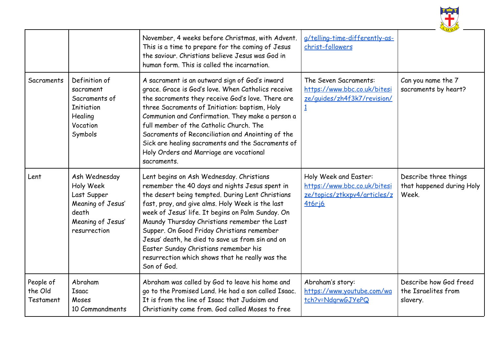

|                                   |                                                                                                              | November, 4 weeks before Christmas, with Advent.<br>This is a time to prepare for the coming of Jesus<br>the saviour. Christians believe Jesus was God in<br>human form. This is called the incarnation.                                                                                                                                                                                                                                                                                                             | g/telling-time-differently-as-<br>christ-followers                                                     |                                                             |
|-----------------------------------|--------------------------------------------------------------------------------------------------------------|----------------------------------------------------------------------------------------------------------------------------------------------------------------------------------------------------------------------------------------------------------------------------------------------------------------------------------------------------------------------------------------------------------------------------------------------------------------------------------------------------------------------|--------------------------------------------------------------------------------------------------------|-------------------------------------------------------------|
| Sacraments                        | Definition of<br>sacrament<br>Sacraments of<br><b>Initiation</b><br>Healing<br>Vocation<br>Symbols           | A sacrament is an outward sign of God's inward<br>grace. Grace is God's love. When Catholics receive<br>the sacraments they receive God's love. There are<br>three Sacraments of Initiation: baptism, Holy<br>Communion and Confirmation. They make a person a<br>full member of the Catholic Church. The<br>Sacraments of Reconciliation and Anointing of the<br>Sick are healing sacraments and the Sacraments of<br>Holy Orders and Marriage are vocational<br>sacraments.                                        | The Seven Sacraments:<br>https://www.bbc.co.uk/bitesi<br>ze/guides/zh4f3k7/revision/<br>$\overline{1}$ | Can you name the 7<br>sacraments by heart?                  |
| Lent                              | Ash Wednesday<br>Holy Week<br>Last Supper<br>Meaning of Jesus'<br>death<br>Meaning of Jesus'<br>resurrection | Lent begins on Ash Wednesday. Christians<br>remember the 40 days and nights Jesus spent in<br>the desert being tempted. During Lent Christians<br>fast, pray, and give alms. Holy Week is the last<br>week of Jesus' life. It begins on Palm Sunday. On<br>Maundy Thursday Christians remember the Last<br>Supper. On Good Friday Christians remember<br>Jesus' death, he died to save us from sin and on<br>Easter Sunday Christians remember his<br>resurrection which shows that he really was the<br>Son of God. | Holy Week and Easter:<br>https://www.bbc.co.uk/bitesi<br>ze/topics/ztkxpv4/articles/z<br><b>416rj6</b> | Describe three things<br>that happened during Holy<br>Week. |
| People of<br>the Old<br>Testament | Abraham<br><b>Isaac</b><br>Moses<br>10 Commandments                                                          | Abraham was called by God to leave his home and<br>go to the Promised Land. He had a son called Isaac.<br>It is from the line of Isaac that Judaism and<br>Christianity come from. God called Moses to free                                                                                                                                                                                                                                                                                                          | Abraham's story:<br>https://www.youtube.com/wa<br>tch?v=NdgrwGJYePQ                                    | Describe how God freed<br>the Israelites from<br>slavery.   |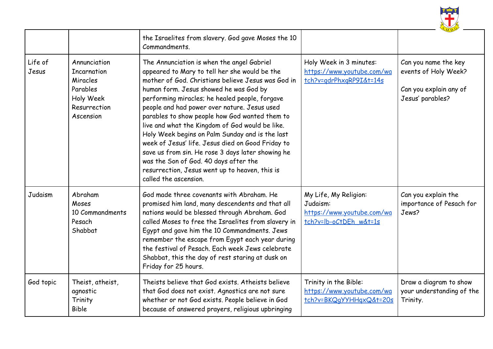

|                  |                                                                                                      | the Israelites from slavery. God gave Moses the 10<br>Commandments.                                                                                                                                                                                                                                                                                                                                                                                                                                                                                                                                                                                                                 |                                                                                           |                                                                                            |
|------------------|------------------------------------------------------------------------------------------------------|-------------------------------------------------------------------------------------------------------------------------------------------------------------------------------------------------------------------------------------------------------------------------------------------------------------------------------------------------------------------------------------------------------------------------------------------------------------------------------------------------------------------------------------------------------------------------------------------------------------------------------------------------------------------------------------|-------------------------------------------------------------------------------------------|--------------------------------------------------------------------------------------------|
| Life of<br>Jesus | Annunciation<br><b>Incarnation</b><br>Miracles<br>Parables<br>Holy Week<br>Resurrection<br>Ascension | The Annunciation is when the angel Gabriel<br>appeared to Mary to tell her she would be the<br>mother of God. Christians believe Jesus was God in<br>human form. Jesus showed he was God by<br>performing miracles; he healed people, forgave<br>people and had power over nature. Jesus used<br>parables to show people how God wanted them to<br>live and what the Kingdom of God would be like.<br>Holy Week begins on Palm Sunday and is the last<br>week of Jesus' life. Jesus died on Good Friday to<br>save us from sin. He rose 3 days later showing he<br>was the Son of God. 40 days after the<br>resurrection, Jesus went up to heaven, this is<br>called the ascension. | Holy Week in 3 minutes:<br>https://www.youtube.com/wa<br>tch?v=gdrPhxgRP9I&t=14s          | Can you name the key<br>events of Holy Week?<br>Can you explain any of<br>Jesus' parables? |
| Judaism          | Abraham<br>Moses<br>10 Commandments<br>Pesach<br>Shabbat                                             | God made three covenants with Abraham. He<br>promised him land, many descendents and that all<br>nations would be blessed through Abraham. God<br>called Moses to free the Israelites from slavery in<br>Egypt and gave him the 10 Commandments. Jews<br>remember the escape from Egypt each year during<br>the festival of Pesach. Each week Jews celebrate<br>Shabbat, this the day of rest staring at dusk on<br>Friday for 25 hours.                                                                                                                                                                                                                                            | My Life, My Religion:<br>Judaism:<br>https://www.youtube.com/wa<br>tch?v=lb-oCtDEh w&t=1s | Can you explain the<br>importance of Pesach for<br>Jews?                                   |
| God topic        | Theist, atheist,<br>agnostic<br>Trinity<br><b>Bible</b>                                              | Theists believe that God exists. Atheists believe<br>that God does not exist. Agnostics are not sure<br>whether or not God exists. People believe in God<br>because of answered prayers, religious upbringing                                                                                                                                                                                                                                                                                                                                                                                                                                                                       | Trinity in the Bible:<br>https://www.youtube.com/wa<br>tch?v=BKQqYYHHqxQ&t=20s            | Draw a diagram to show<br>your understanding of the<br>Trinity.                            |